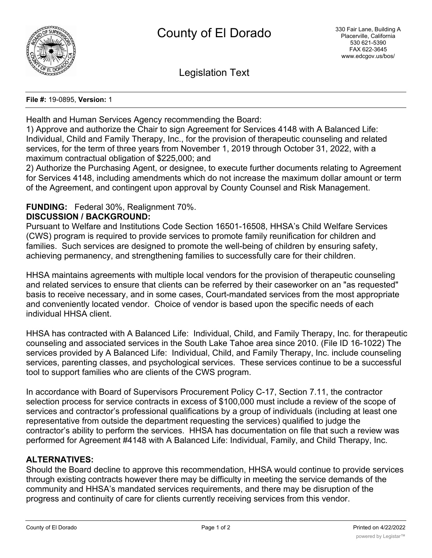

Legislation Text

#### **File #:** 19-0895, **Version:** 1

Health and Human Services Agency recommending the Board:

1) Approve and authorize the Chair to sign Agreement for Services 4148 with A Balanced Life: Individual, Child and Family Therapy, Inc., for the provision of therapeutic counseling and related services, for the term of three years from November 1, 2019 through October 31, 2022, with a maximum contractual obligation of \$225,000; and

2) Authorize the Purchasing Agent, or designee, to execute further documents relating to Agreement for Services 4148, including amendments which do not increase the maximum dollar amount or term of the Agreement, and contingent upon approval by County Counsel and Risk Management.

# **FUNDING:** Federal 30%, Realignment 70%.

### **DISCUSSION / BACKGROUND:**

Pursuant to Welfare and Institutions Code Section 16501-16508, HHSA's Child Welfare Services (CWS) program is required to provide services to promote family reunification for children and families. Such services are designed to promote the well-being of children by ensuring safety, achieving permanency, and strengthening families to successfully care for their children.

HHSA maintains agreements with multiple local vendors for the provision of therapeutic counseling and related services to ensure that clients can be referred by their caseworker on an "as requested" basis to receive necessary, and in some cases, Court-mandated services from the most appropriate and conveniently located vendor. Choice of vendor is based upon the specific needs of each individual HHSA client.

HHSA has contracted with A Balanced Life: Individual, Child, and Family Therapy, Inc. for therapeutic counseling and associated services in the South Lake Tahoe area since 2010. (File ID 16-1022) The services provided by A Balanced Life: Individual, Child, and Family Therapy, Inc. include counseling services, parenting classes, and psychological services. These services continue to be a successful tool to support families who are clients of the CWS program.

In accordance with Board of Supervisors Procurement Policy C-17, Section 7.11, the contractor selection process for service contracts in excess of \$100,000 must include a review of the scope of services and contractor's professional qualifications by a group of individuals (including at least one representative from outside the department requesting the services) qualified to judge the contractor's ability to perform the services. HHSA has documentation on file that such a review was performed for Agreement #4148 with A Balanced Life: Individual, Family, and Child Therapy, Inc.

# **ALTERNATIVES:**

Should the Board decline to approve this recommendation, HHSA would continue to provide services through existing contracts however there may be difficulty in meeting the service demands of the community and HHSA's mandated services requirements, and there may be disruption of the progress and continuity of care for clients currently receiving services from this vendor.